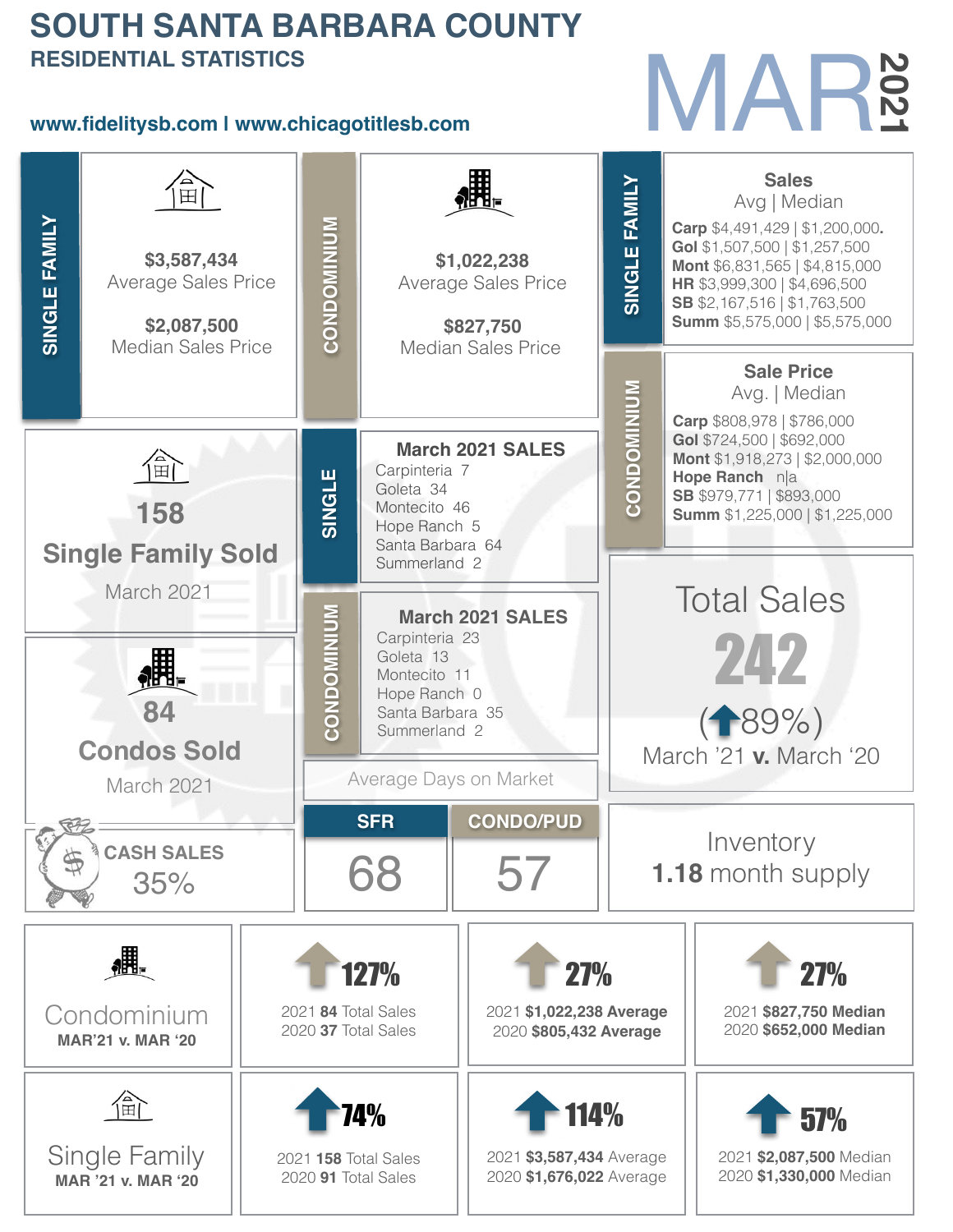#### **SOUTH SANTA BARBARA COUNTY RESIDENTIAL STATISTICS**

#### **www.fidelitysb.com | www.chicagotitlesb.com**

# MAR

| <b>RESIDENTIAL STATISTICS</b><br><b>202</b> |                                                          |                                                                       |                                             |                                                          |                                              |                                                                  |                                                                                                                                  |                                                                                                           |  |  |  |
|---------------------------------------------|----------------------------------------------------------|-----------------------------------------------------------------------|---------------------------------------------|----------------------------------------------------------|----------------------------------------------|------------------------------------------------------------------|----------------------------------------------------------------------------------------------------------------------------------|-----------------------------------------------------------------------------------------------------------|--|--|--|
|                                             | www.fidelitysb.com I www.chicagotitlesb.com              |                                                                       |                                             |                                                          |                                              |                                                                  |                                                                                                                                  |                                                                                                           |  |  |  |
| 田                                           |                                                          |                                                                       |                                             |                                                          |                                              | FAMILY                                                           |                                                                                                                                  | <b>Sales</b><br>Avg   Median<br><b>Carp</b> $$4,491,429   $1,200,000$ .<br>Gol \$1,507,500   \$1,257,500  |  |  |  |
| <b>SINGLE FAMILY</b>                        | \$3,587,434<br><b>Average Sales Price</b><br>\$2,087,500 | CONDOMINIUM<br>\$1,022,238<br><b>Average Sales Price</b><br>\$827,750 |                                             |                                                          | SINGLE                                       |                                                                  | Mont \$6,831,565   \$4,815,000<br>HR \$3,999,300   \$4,696,500<br>SB \$2,167,516   \$1,763,500<br>Summ \$5,575,000   \$5,575,000 |                                                                                                           |  |  |  |
|                                             | <b>Median Sales Price</b>                                |                                                                       |                                             | <b>Median Sales Price</b>                                |                                              | <b>Sale Price</b><br>Avg.   Median<br>Carp \$808,978   \$786,000 |                                                                                                                                  |                                                                                                           |  |  |  |
| $\blacksquare$                              |                                                          |                                                                       | SINGLE                                      | Carpinteria 7<br>Goleta 34<br>Montecito 46               | <b>March 2021 SALES</b>                      | <b>CONDOMINIUM</b>                                               |                                                                                                                                  | Gol \$724,500   \$692,000<br>Mont \$1,918,273   \$2,000,000<br>Hope Ranch n a<br>SB \$979,771   \$893,000 |  |  |  |
|                                             | 158<br><b>Single Family Sold</b>                         |                                                                       |                                             | Hope Ranch 5<br>Santa Barbara 64<br>Summerland 2         |                                              |                                                                  |                                                                                                                                  | <b>Summ</b> \$1,225,000   \$1,225,000                                                                     |  |  |  |
|                                             | March 2021                                               |                                                                       |                                             | <b>March 2021 SALES</b><br>Carpinteria 23                | <b>Total Sales</b><br>242                    |                                                                  |                                                                                                                                  |                                                                                                           |  |  |  |
|                                             |                                                          |                                                                       | CONDOMINIUM                                 | Goleta <sub>13</sub><br>Montecito 11<br>Hope Ranch 0     |                                              |                                                                  |                                                                                                                                  |                                                                                                           |  |  |  |
|                                             | <b>Condos Sold</b>                                       |                                                                       |                                             | Santa Barbara 35<br>Summerland 2                         | ( <del>1</del> 89%<br>March '21 v. March '20 |                                                                  |                                                                                                                                  |                                                                                                           |  |  |  |
|                                             | March 2021                                               |                                                                       |                                             | Average Days on Market<br><b>CONDO/PUD</b><br><b>SFR</b> |                                              |                                                                  |                                                                                                                                  |                                                                                                           |  |  |  |
|                                             | <b>CASH SALES</b><br>35%                                 |                                                                       |                                             | 68                                                       | 57                                           |                                                                  | Inventory<br><b>1.18</b> month supply                                                                                            |                                                                                                           |  |  |  |
|                                             |                                                          |                                                                       |                                             | 127%<br><b>27%</b>                                       |                                              |                                                                  | <b>27%</b>                                                                                                                       |                                                                                                           |  |  |  |
|                                             | Condominium<br><b>MAR'21 v. MAR '20</b>                  |                                                                       |                                             | 2021 84 Total Sales<br>2020 37 Total Sales               |                                              | 2021 \$1,022,238 Average<br>2020 \$805,432 Average               |                                                                                                                                  | 2021 \$827,750 Median<br>2020 \$652,000 Median                                                            |  |  |  |
|                                             | 俞                                                        |                                                                       |                                             | 114%<br>74%                                              |                                              |                                                                  |                                                                                                                                  | 57%                                                                                                       |  |  |  |
|                                             | Single Family<br><b>MAR '21 v. MAR '20</b>               |                                                                       | 2021 158 Total Sales<br>2020 91 Total Sales |                                                          |                                              | 2021 \$3,587,434 Average<br>2020 \$1,676,022 Average             |                                                                                                                                  | 2021 \$2,087,500 Median<br>2020 \$1,330,000 Median                                                        |  |  |  |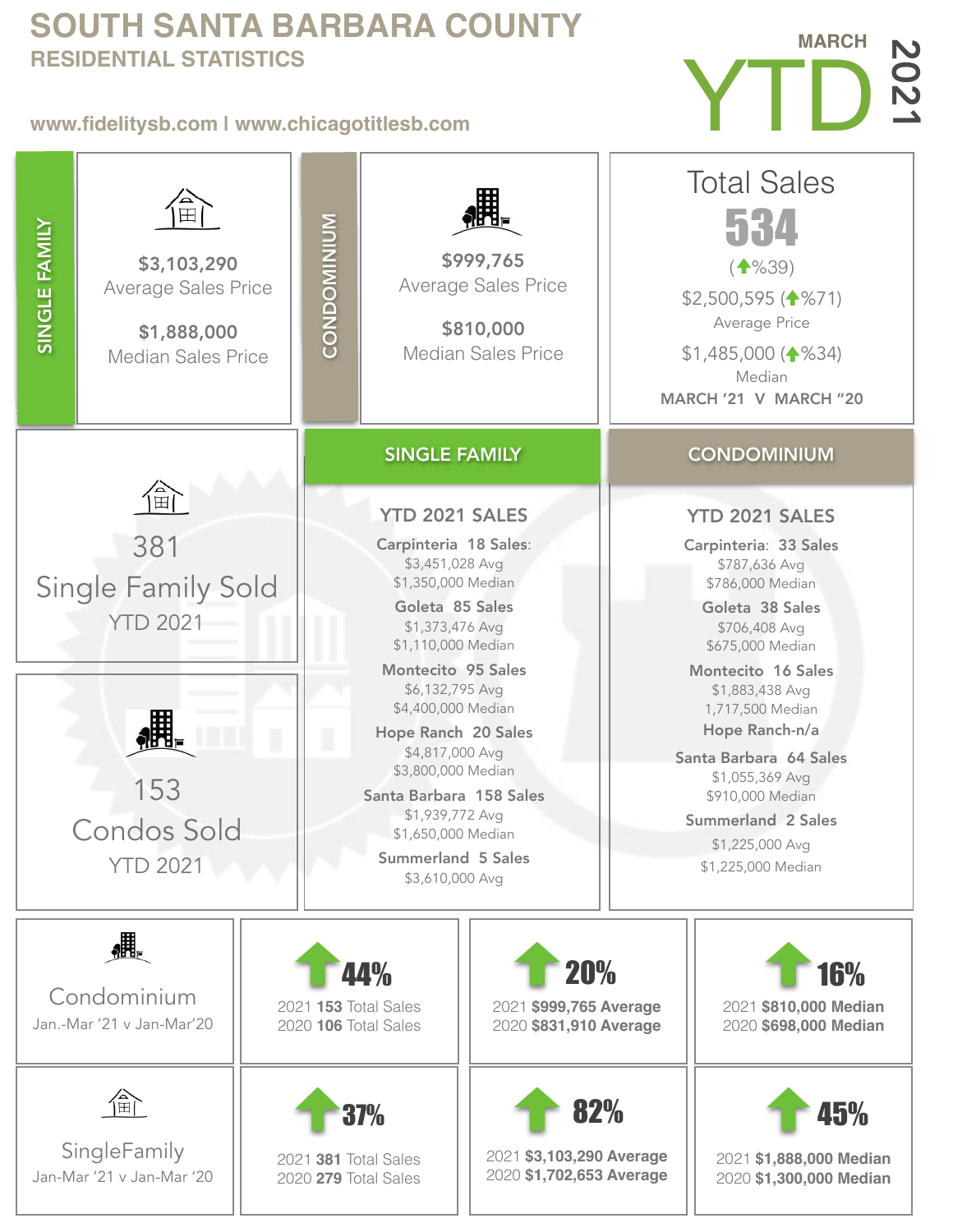#### **SOUTH SANTA BARBARA COUNTY RESIDENTIAL STATISTICS**

#### **www.fidelitysb.com | www.chicagotitlesb.com**



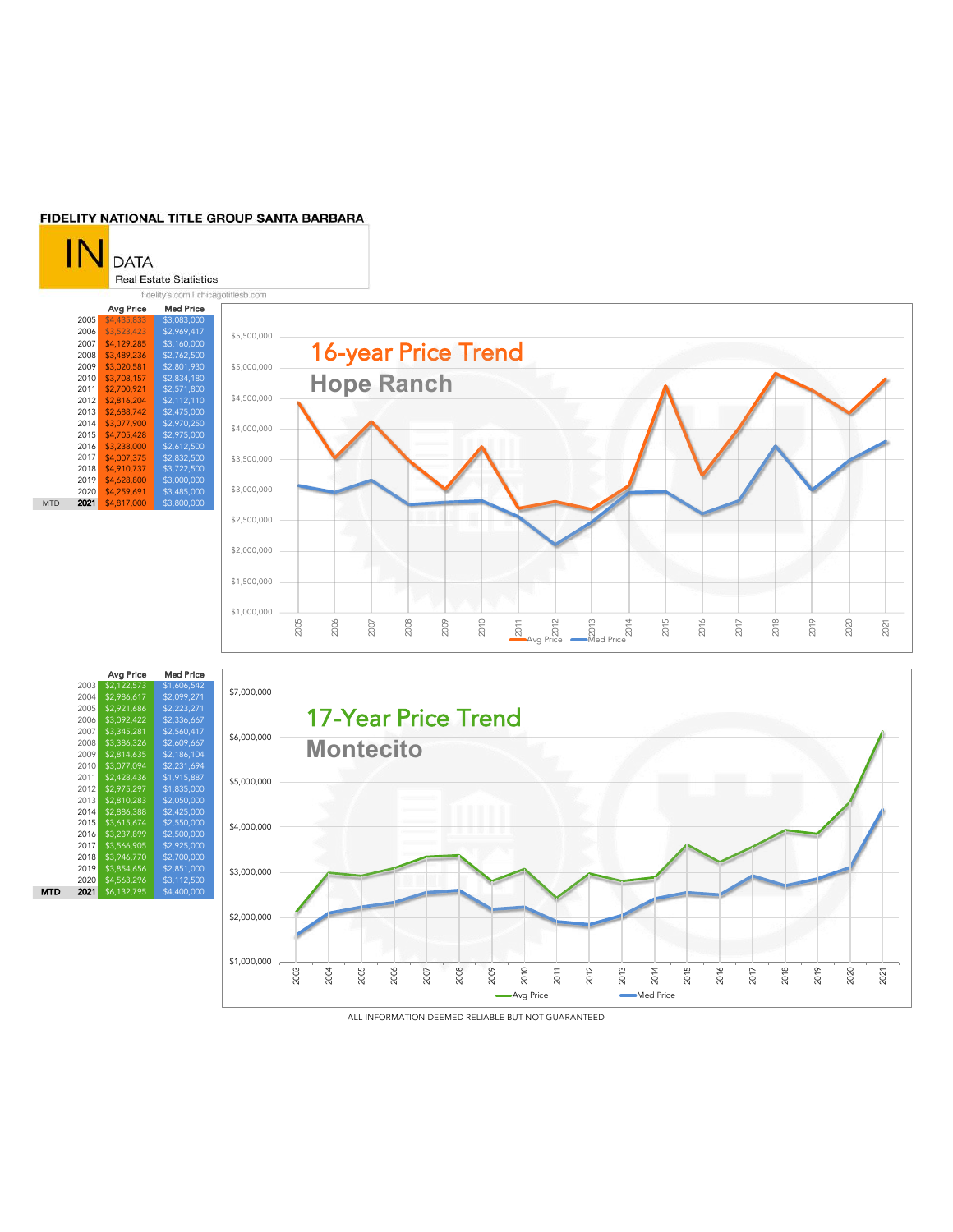#### FIDELITY NATIONAL TITLE GROUP SANTA BARBARA



|            |      | Avg Price   | Med Price   |
|------------|------|-------------|-------------|
|            | 2005 | \$4,435,833 | \$3,083,000 |
|            | 2006 | \$3,523,423 | \$2,969,417 |
|            | 2007 | \$4.129.285 | \$3.160.000 |
|            | 2008 | \$3,489,236 | \$2,762,500 |
|            | 2009 | \$3,020,581 | \$2.801.930 |
|            | 2010 | \$3,708,157 | \$2,834,180 |
|            | 2011 | \$2,700.921 | \$2,571,800 |
|            | 2012 | \$2,816,204 | \$2.112.110 |
|            | 2013 | \$2,688,742 | \$2,475,000 |
|            | 2014 | \$3,077,900 | \$2.970.250 |
|            | 2015 | \$4,705,428 | \$2,975,000 |
|            | 2016 | \$3,238,000 | \$2,612,500 |
|            | 2017 | \$4,007,375 | \$2.832.500 |
|            | 2018 | \$4,910,737 | \$3,722,500 |
|            | 2019 | \$4,628,800 | \$3,000,000 |
|            | 2020 | \$4,259,691 | \$3,485,000 |
| <b>MTD</b> | 2021 | \$4,817,000 | \$3.800.000 |



|     |      | Avg Price   | Med Price   |
|-----|------|-------------|-------------|
|     | 2003 | \$2,122,573 | \$1,606,542 |
|     | 2004 | \$2,986.617 | \$2,099,271 |
|     | 2005 | \$2,921,686 | \$2,223,271 |
|     | 2006 | \$3,092,422 | \$2,336,667 |
|     | 2007 | \$3.345.281 | \$2.560.417 |
|     | 2008 | \$3,386,326 | \$2,609,667 |
|     | 2009 | \$2.814.635 | \$2,186,104 |
|     | 2010 | \$3,077,094 | \$2,231,694 |
|     | 2011 | \$2,428,436 | \$1,915,887 |
|     | 2012 | \$2,975,297 | \$1.835.000 |
|     | 2013 | \$2,810,283 | \$2,050,000 |
|     | 2014 | \$2.886.388 | \$2.425.000 |
|     | 2015 | \$3,615,674 | \$2,550,000 |
|     | 2016 | \$3.237.899 | \$2,500,000 |
|     | 2017 | \$3.566.905 | \$2,925,000 |
|     | 2018 | \$3,946,770 | \$2,700,000 |
|     | 2019 | \$3.854.656 | \$2,851,000 |
|     | 2020 | \$4,563,296 | \$3,112,500 |
| MTD | 2021 | \$6,132,795 | \$4,400,000 |



ALL INFORMATION DEEMED RELIABLE BUT NOT GUARANTEED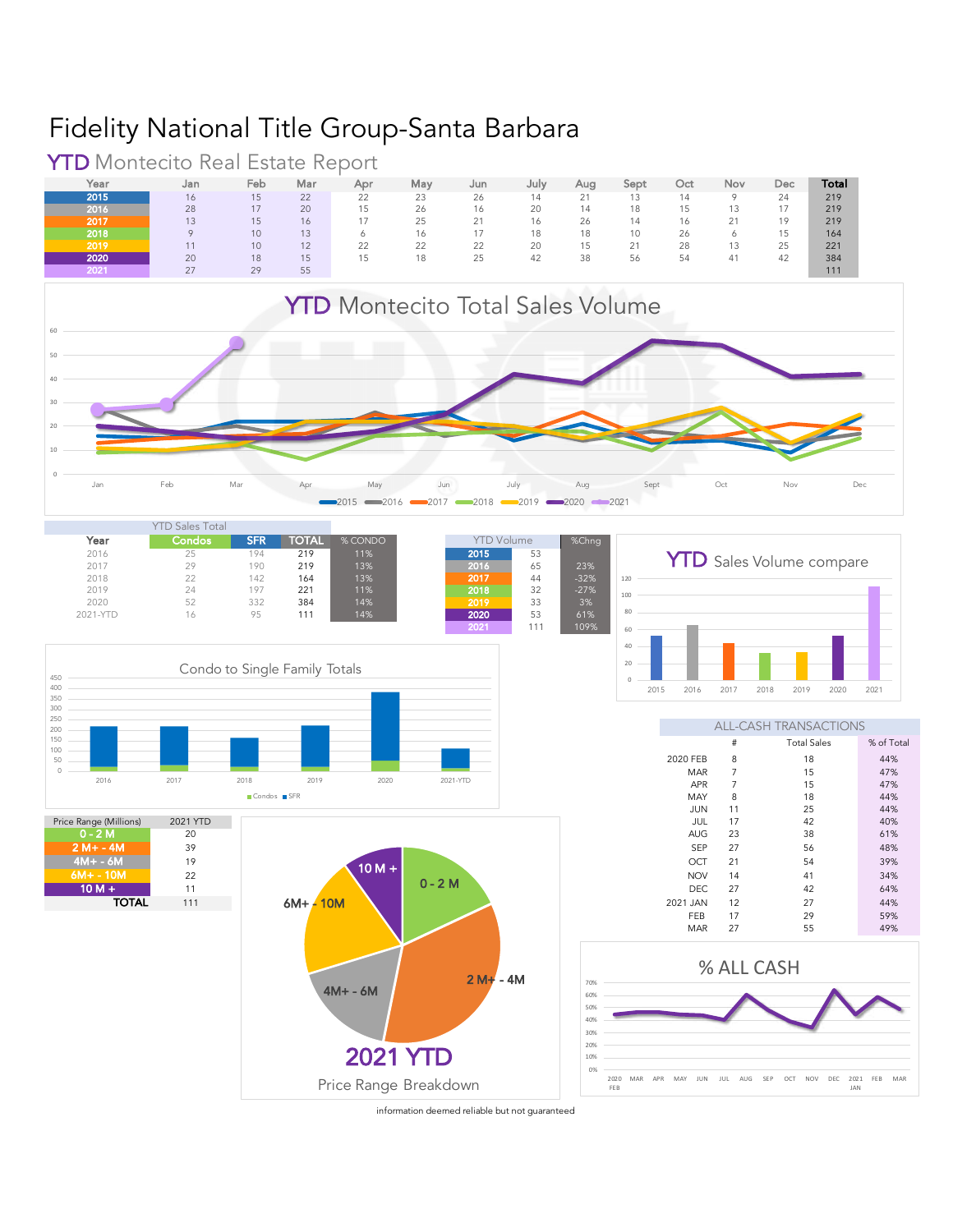### Fidelity National Title Group-Santa Barbara

**YTD** Montecito Real Estate Report<br>
Year Jan Feb Mar Apr



Year Jan Feb Mar Apr May Jun July Aug Sept Oct Nov Dec **Total 2015** 16 15 22 22 23 26 14 21 13 14 9 24 219

information deemed reliable but not quaranteed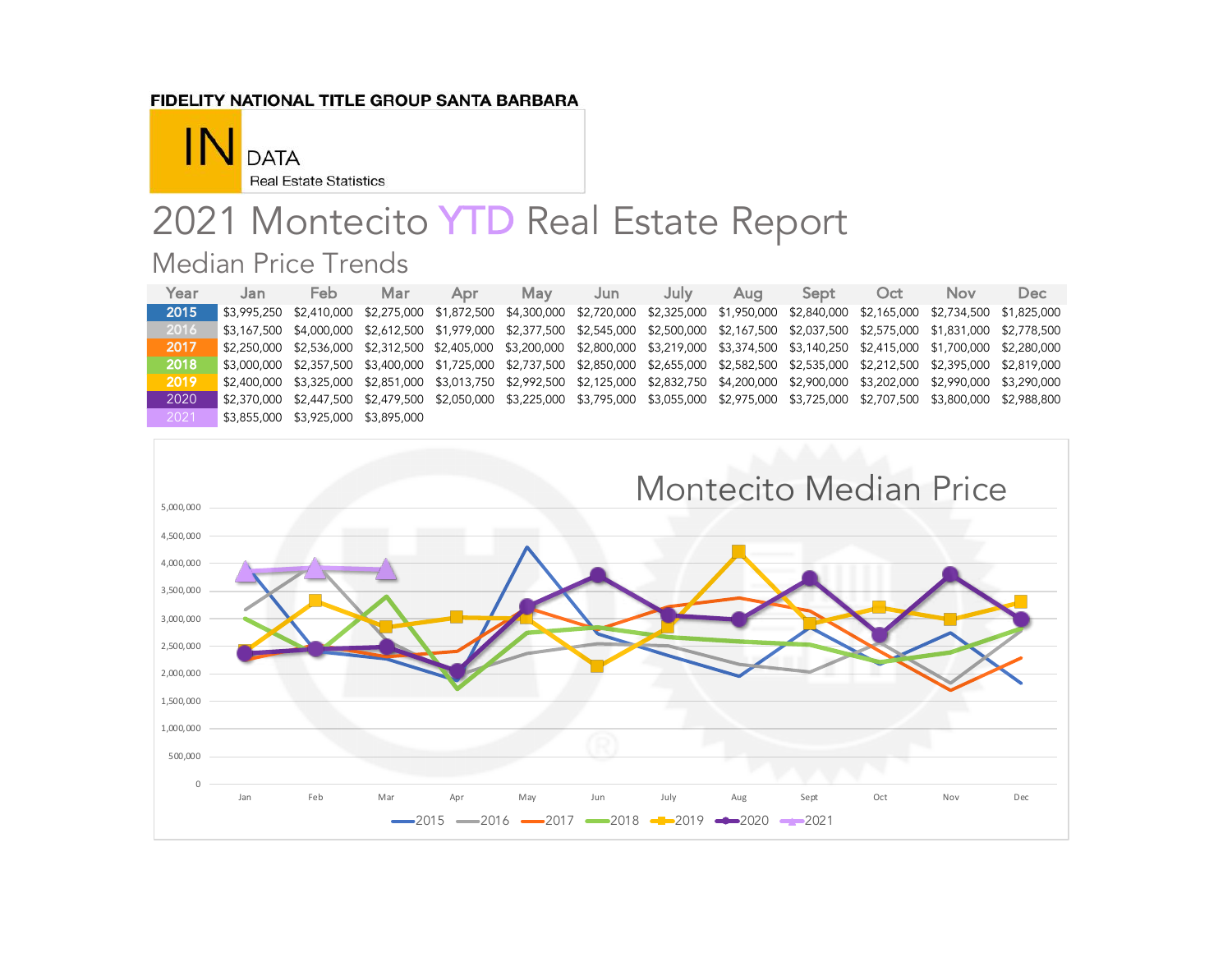#### FIDELITY NATIONAL TITLE GROUP SANTA BARBARA



# 2021 Montecito YTD Real Estate Report Median Price Trends

| Year | Jan | Feb.                                | Mar | Apr                                                                                                                                             | May | Jun | July | Aua | Sept | Oct | Nov | Dec |
|------|-----|-------------------------------------|-----|-------------------------------------------------------------------------------------------------------------------------------------------------|-----|-----|------|-----|------|-----|-----|-----|
| 2015 |     |                                     |     | \$3,995,250 \$2,410,000 \$2,275,000 \$1,872,500 \$4,300,000 \$2,720,000 \$2,325,000 \$1,950,000 \$2,840,000 \$2,165,000 \$2,734,500 \$1,825,000 |     |     |      |     |      |     |     |     |
| 2016 |     |                                     |     | \$3,167,500 \$4,000,000 \$2,612,500 \$1,979,000 \$2,377,500 \$2,545,000 \$2,500,000 \$2,167,500 \$2,037,500 \$2,575,000 \$1,831,000 \$2,778,500 |     |     |      |     |      |     |     |     |
| 2017 |     |                                     |     | \$2,250,000 \$2,536,000 \$2,312,500 \$2,405,000 \$3,200,000 \$2,800,000 \$3,219,000 \$3,374,500 \$3,140,250 \$2.415,000 \$1,700,000 \$2,280,000 |     |     |      |     |      |     |     |     |
| 2018 |     |                                     |     | \$3,000,000 \$2,357,500 \$3,400,000 \$1,725,000 \$2,737,500 \$2,850,000 \$2,655,000 \$2,582,500 \$2,535,000 \$2,212,500 \$2,395,000 \$2,819,000 |     |     |      |     |      |     |     |     |
| 2019 |     |                                     |     | \$2,400,000 \$3,325,000 \$2,851,000 \$3,013,750 \$2,992,500 \$2,125,000 \$2,832,750 \$4,200,000 \$2,900,000 \$3,202,000 \$2,990,000 \$3,290,000 |     |     |      |     |      |     |     |     |
| 2020 |     |                                     |     | \$2,370,000 \$2,447,500 \$2,479,500 \$2,050,000 \$3,225,000 \$3,795,000 \$3,055,000 \$2,975,000 \$3,725,000 \$2,707,500 \$3,800,000 \$2,988,800 |     |     |      |     |      |     |     |     |
| 2021 |     | \$3,855,000 \$3,925,000 \$3,895,000 |     |                                                                                                                                                 |     |     |      |     |      |     |     |     |

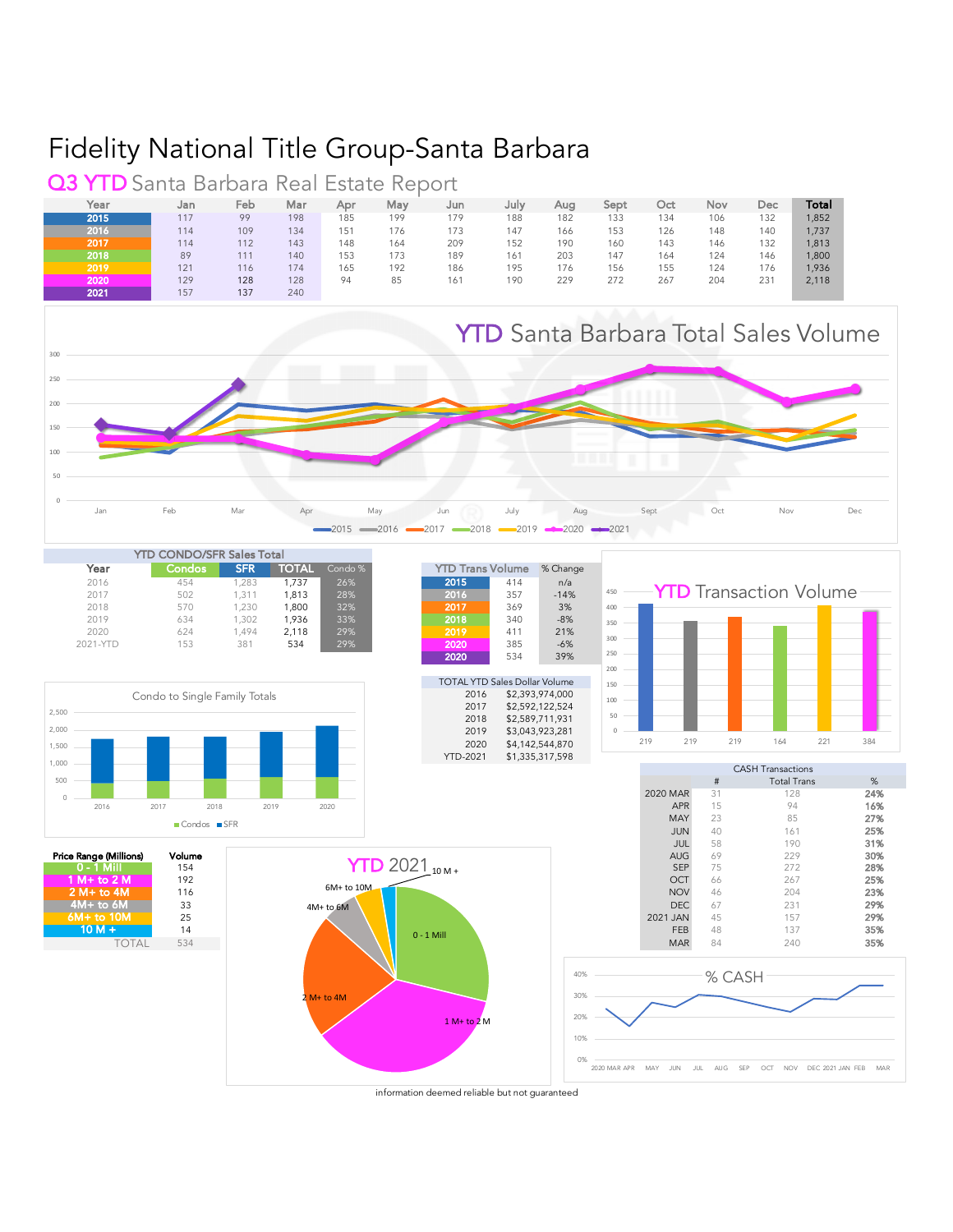#### Fidelity National Title Group-Santa Barbara

Year Jan Feb Mar Apr May Jun July Aug Sept Oct Nov Dec **Total** 2015 117 99 198 185 199 179 188 182 133 134 106 132 1,852 2016 114 109 134 151 176 173 147 166 153 126 148 140 1,737 **2017** 114 112 143 148 164 209 152 190 160 143 146 132 1**,8**13 2018 89 111 140 153 173 189 161 203 147 164 124 146 1,800 2019 121 116 174 165 192 186 195 176 156 155 124 176 1,936 2020 129 128 128 94 85 161 190 229 272 267 204 231 2,118 **2021 157 137 240 Q3 YTD** Santa Barbara Real Estate Report



information deemed reliable but not guaranteed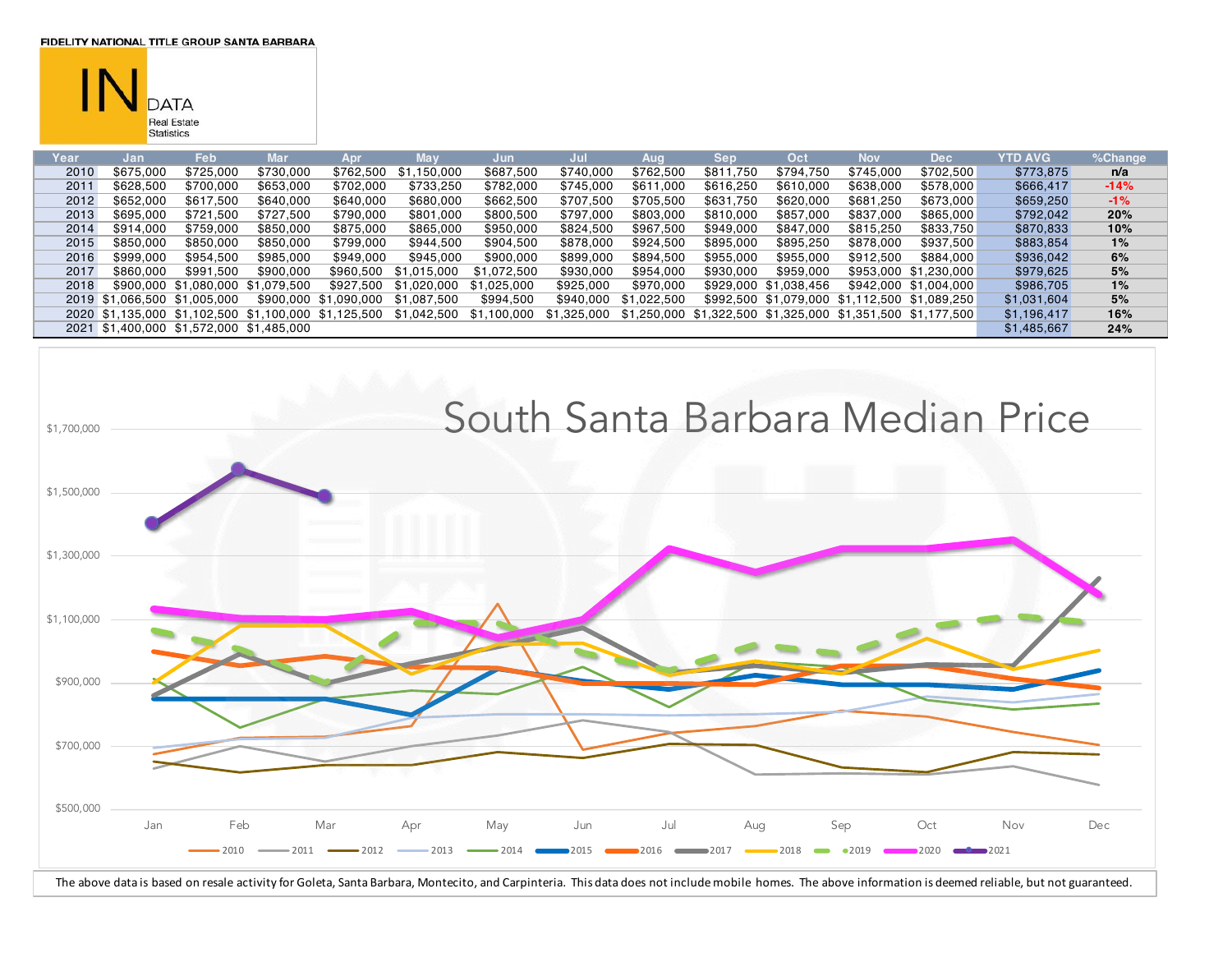**FIDELITY NATIONAL TITLE GROUP SANTA BARBARA** 



| Year | Jan                          | Feb       | Mar                                      | Apr                                                  | Mav                | Jun         | Jul         | Aug         | <b>Sep</b> | Oct                                             | Nov       | <b>Dec</b>            | YTD AVG     | %Change |
|------|------------------------------|-----------|------------------------------------------|------------------------------------------------------|--------------------|-------------|-------------|-------------|------------|-------------------------------------------------|-----------|-----------------------|-------------|---------|
| 2010 | \$675,000                    | \$725,000 | \$730,000                                | \$762,500                                            | .150.000<br>-S. 1. | \$687,500   | \$740,000   | \$762,500   | \$811,750  | \$794,750                                       | \$745.000 | \$702,500             | \$773,875   | n/a     |
| 2011 | \$628,500                    | \$700,000 | \$653,000                                | \$702,000                                            | \$733,250          | \$782,000   | \$745,000   | \$611,000   | \$616,250  | \$610,000                                       | \$638,000 | \$578,000             | \$666,417   | $-14%$  |
| 2012 | \$652,000                    | \$617,500 | \$640,000                                | \$640,000                                            | \$680,000          | \$662,500   | \$707,500   | \$705,500   | \$631,750  | \$620,000                                       | \$681,250 | \$673,000             | \$659,250   | $-1%$   |
| 2013 | \$695,000                    | \$721.500 | \$727.500                                | \$790,000                                            | \$801,000          | \$800,500   | \$797,000   | \$803,000   | \$810,000  | \$857,000                                       | \$837,000 | \$865,000             | \$792,042   | 20%     |
| 2014 | \$914,000                    | \$759,000 | \$850,000                                | \$875,000                                            | \$865,000          | \$950,000   | \$824,500   | \$967,500   | \$949,000  | \$847,000                                       | \$815,250 | \$833,750             | \$870,833   | 10%     |
| 2015 | \$850,000                    | \$850,000 | \$850,000                                | \$799,000                                            | \$944,500          | \$904,500   | \$878,000   | \$924,500   | \$895,000  | \$895,250                                       | \$878,000 | \$937,500             | \$883,854   | 1%      |
| 2016 | \$999,000                    | \$954.500 | \$985,000                                | \$949,000                                            | \$945,000          | \$900,000   | \$899,000   | \$894,500   | \$955,000  | \$955,000                                       | \$912,500 | \$884,000             | \$936,042   | 6%      |
| 2017 | \$860,000                    | \$991.500 | \$900,000                                | \$960,500                                            | \$1.015.000        | \$1,072,500 | \$930,000   | \$954,000   | \$930,000  | \$959,000                                       |           | \$953,000 \$1,230,000 | \$979,625   | 5%      |
| 2018 |                              |           | \$900.000 \$1.080.000 \$1.079.500        | \$927.500                                            | \$1.020.000        | \$1.025.000 | \$925,000   | \$970.000   |            | \$929,000 \$1,038,456                           |           | \$942,000 \$1,004,000 | \$986,705   | 1%      |
|      | 2019 \$1.066.500 \$1.005.000 |           |                                          | \$900,000 \$1,090,000                                | \$1.087.500        | \$994,500   | \$940,000   | \$1,022,500 |            | \$992,500 \$1,079,000 \$1,112,500 \$1,089,250   |           |                       | \$1,031,604 | 5%      |
|      |                              |           |                                          | 2020 \$1,135,000 \$1,102,500 \$1,100,000 \$1,125,500 | \$1,042,500        | \$1,100,000 | \$1,325,000 | \$1,250,000 |            | \$1,322,500 \$1,325,000 \$1,351,500 \$1,177,500 |           |                       | \$1,196,417 | 16%     |
|      |                              |           | 2021 \$1,400,000 \$1,572,000 \$1,485,000 |                                                      |                    |             |             |             |            |                                                 |           |                       | \$1,485,667 | 24%     |

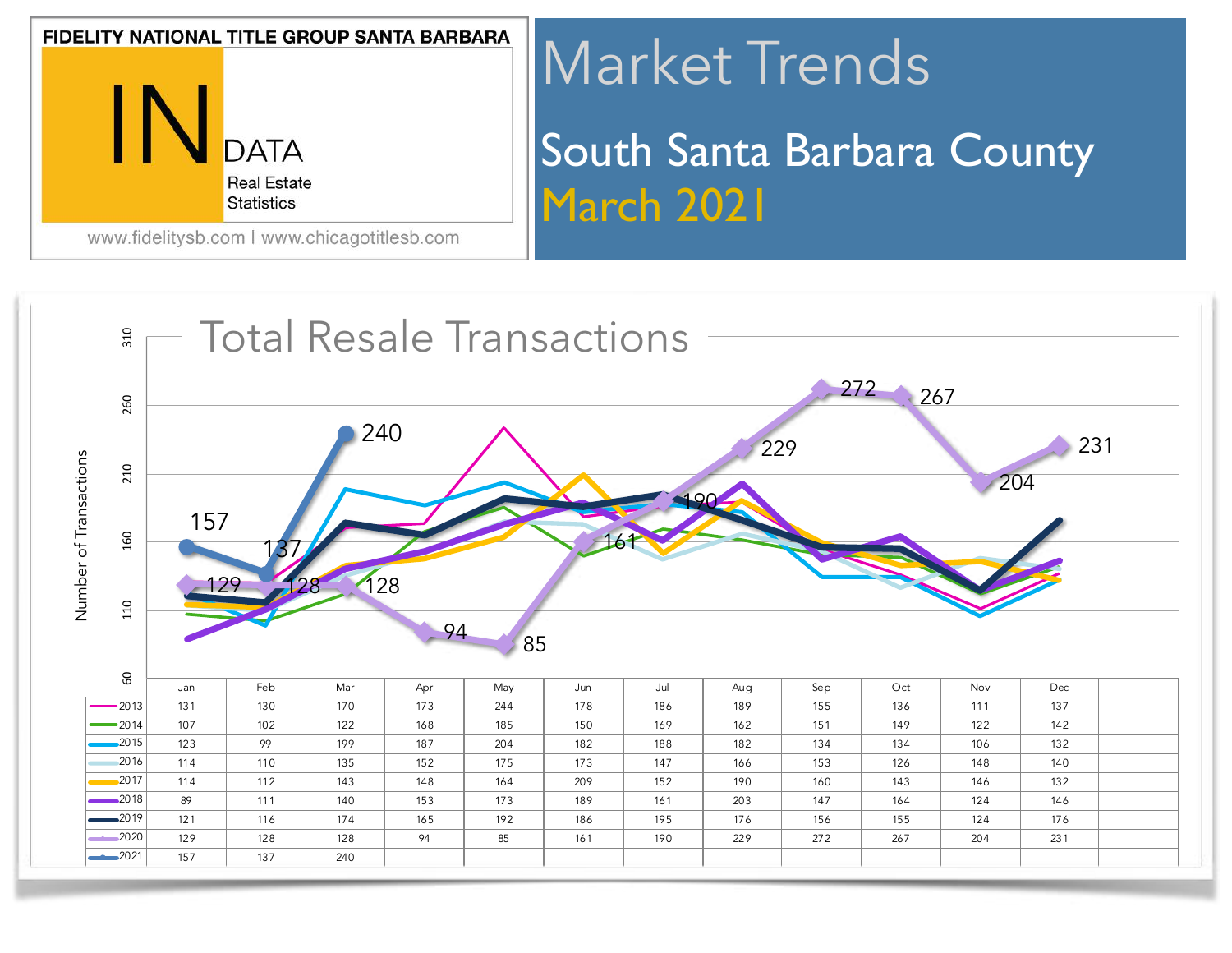

# Market Trends South Santa Barbara County March 2021